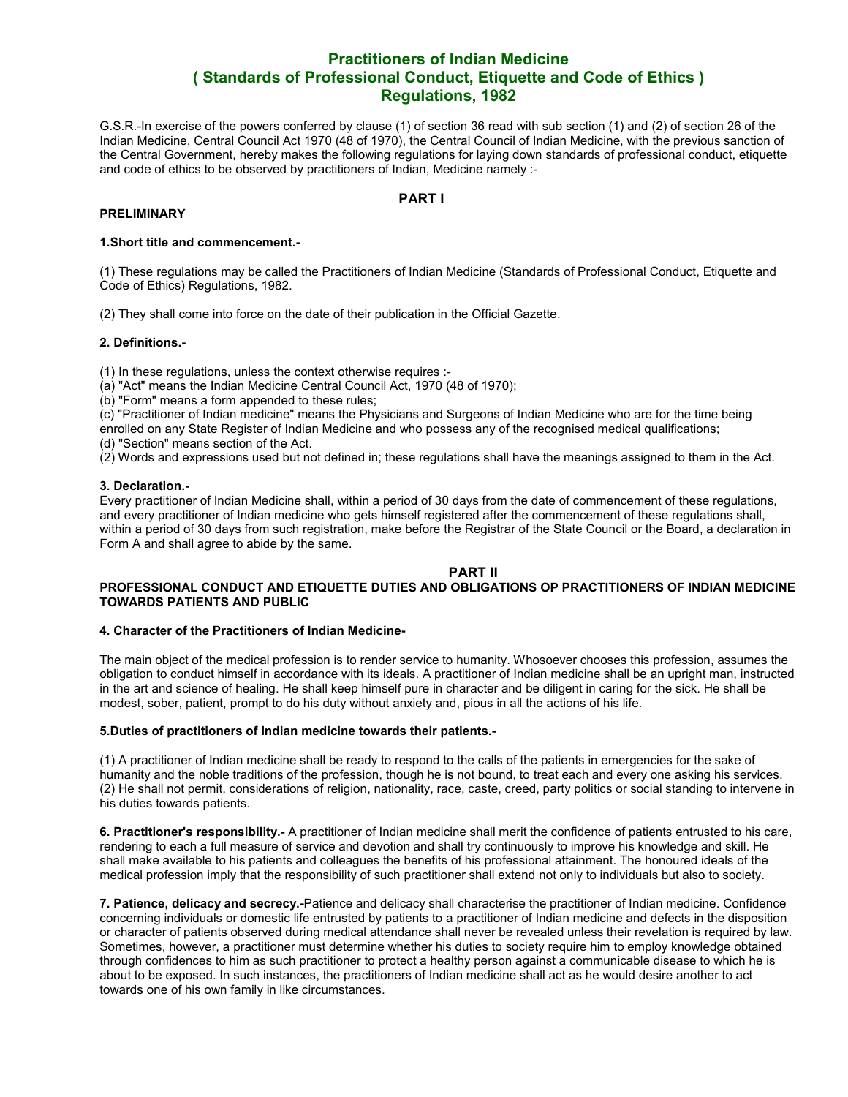# **Practitioners of Indian Medicine ( Standards of Professional Conduct, Etiquette and Code of Ethics ) Regulations, 1982**

G.S.R.-In exercise of the powers conferred by clause (1) of section 36 read with sub section (1) and (2) of section 26 of the Indian Medicine, Central Council Act 1970 (48 of 1970), the Central Council of Indian Medicine, with the previous sanction of the Central Government, hereby makes the following regulations for laying down standards of professional conduct, etiquette and code of ethics to be observed by practitioners of Indian, Medicine namely :-

# **PART I**

## **PRELIMINARY**

#### **1.Short title and commencement.-**

(1) These regulations may be called the Practitioners of Indian Medicine (Standards of Professional Conduct, Etiquette and Code of Ethics) Regulations, 1982.

(2) They shall come into force on the date of their publication in the Official Gazette.

#### **2. Definitions.-**

(1) In these regulations, unless the context otherwise requires :-

- (a) "Act" means the Indian Medicine Central Council Act, 1970 (48 of 1970);
- (b) "Form" means a form appended to these rules;

(c) "Practitioner of Indian medicine" means the Physicians and Surgeons of Indian Medicine who are for the time being enrolled on any State Register of Indian Medicine and who possess any of the recognised medical qualifications;

(d) "Section" means section of the Act.

(2) Words and expressions used but not defined in; these regulations shall have the meanings assigned to them in the Act.

## **3. Declaration.-**

Every practitioner of Indian Medicine shall, within a period of 30 days from the date of commencement of these regulations, and every practitioner of Indian medicine who gets himself registered after the commencement of these regulations shall, within a period of 30 days from such registration, make before the Registrar of the State Council or the Board, a declaration in Form A and shall agree to abide by the same.

#### **PART II PROFESSIONAL CONDUCT AND ETIQUETTE DUTIES AND OBLIGATIONS OP PRACTITIONERS OF INDIAN MEDICINE TOWARDS PATIENTS AND PUBLIC**

#### **4. Character of the Practitioners of Indian Medicine-**

The main object of the medical profession is to render service to humanity. Whosoever chooses this profession, assumes the obligation to conduct himself in accordance with its ideals. A practitioner of Indian medicine shall be an upright man, instructed in the art and science of healing. He shall keep himself pure in character and be diligent in caring for the sick. He shall be modest, sober, patient, prompt to do his duty without anxiety and, pious in all the actions of his life.

#### **5.Duties of practitioners of Indian medicine towards their patients.-**

(1) A practitioner of Indian medicine shall be ready to respond to the calls of the patients in emergencies for the sake of humanity and the noble traditions of the profession, though he is not bound, to treat each and every one asking his services. (2) He shall not permit, considerations of religion, nationality, race, caste, creed, party politics or social standing to intervene in his duties towards patients.

**6. Practitioner's responsibility.-** A practitioner of Indian medicine shall merit the confidence of patients entrusted to his care, rendering to each a full measure of service and devotion and shall try continuously to improve his knowledge and skill. He shall make available to his patients and colleagues the benefits of his professional attainment. The honoured ideals of the medical profession imply that the responsibility of such practitioner shall extend not only to individuals but also to society.

**7. Patience, delicacy and secrecy.-**Patience and delicacy shall characterise the practitioner of Indian medicine. Confidence concerning individuals or domestic life entrusted by patients to a practitioner of Indian medicine and defects in the disposition or character of patients observed during medical attendance shall never be revealed unless their revelation is required by law. Sometimes, however, a practitioner must determine whether his duties to society require him to employ knowledge obtained through confidences to him as such practitioner to protect a healthy person against a communicable disease to which he is about to be exposed. In such instances, the practitioners of Indian medicine shall act as he would desire another to act towards one of his own family in like circumstances.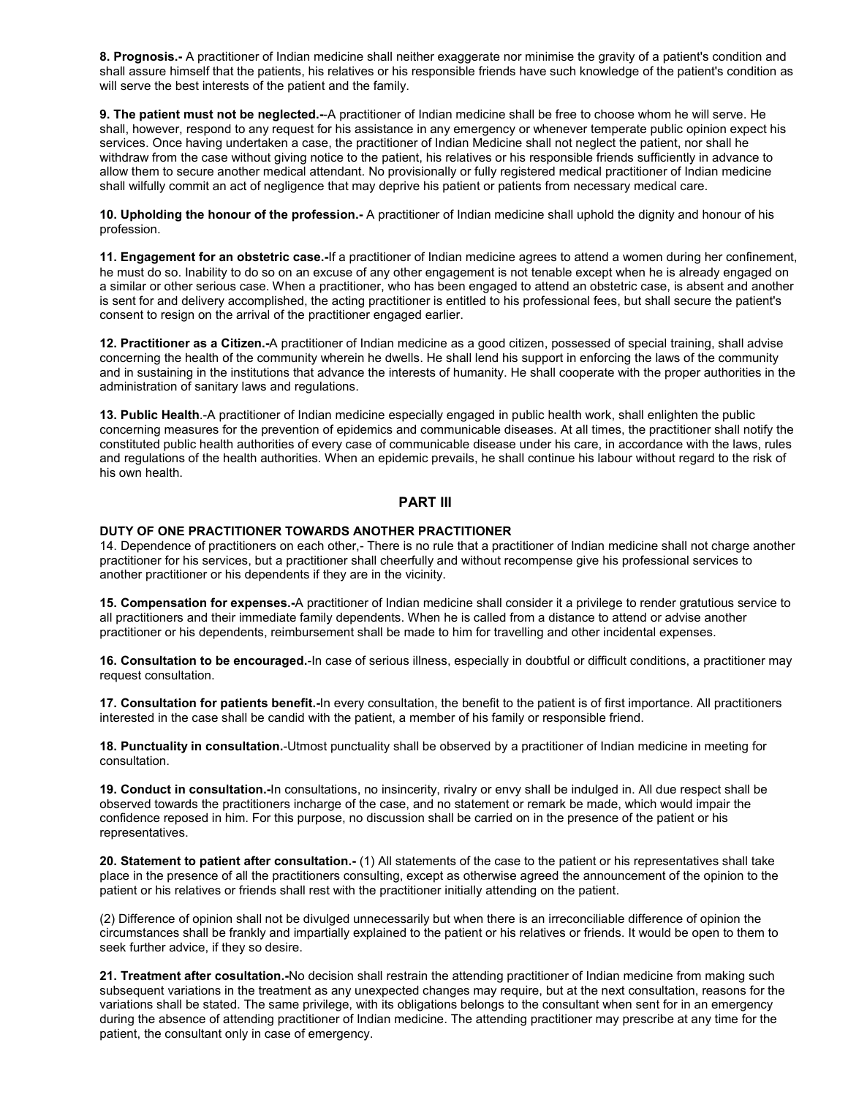**8. Prognosis.-** A practitioner of Indian medicine shall neither exaggerate nor minimise the gravity of a patient's condition and shall assure himself that the patients, his relatives or his responsible friends have such knowledge of the patient's condition as will serve the best interests of the patient and the family.

**9. The patient must not be neglected.-**-A practitioner of Indian medicine shall be free to choose whom he will serve. He shall, however, respond to any request for his assistance in any emergency or whenever temperate public opinion expect his services. Once having undertaken a case, the practitioner of Indian Medicine shall not neglect the patient, nor shall he withdraw from the case without giving notice to the patient, his relatives or his responsible friends sufficiently in advance to allow them to secure another medical attendant. No provisionally or fully registered medical practitioner of Indian medicine shall wilfully commit an act of negligence that may deprive his patient or patients from necessary medical care.

**10. Upholding the honour of the profession.-** A practitioner of Indian medicine shall uphold the dignity and honour of his profession.

**11. Engagement for an obstetric case.-**If a practitioner of Indian medicine agrees to attend a women during her confinement, he must do so. Inability to do so on an excuse of any other engagement is not tenable except when he is already engaged on a similar or other serious case. When a practitioner, who has been engaged to attend an obstetric case, is absent and another is sent for and delivery accomplished, the acting practitioner is entitled to his professional fees, but shall secure the patient's consent to resign on the arrival of the practitioner engaged earlier.

**12. Practitioner as a Citizen.-**A practitioner of Indian medicine as a good citizen, possessed of special training, shall advise concerning the health of the community wherein he dwells. He shall lend his support in enforcing the laws of the community and in sustaining in the institutions that advance the interests of humanity. He shall cooperate with the proper authorities in the administration of sanitary laws and regulations.

**13. Public Health**.-A practitioner of Indian medicine especially engaged in public health work, shall enlighten the public concerning measures for the prevention of epidemics and communicable diseases. At all times, the practitioner shall notify the constituted public health authorities of every case of communicable disease under his care, in accordance with the laws, rules and regulations of the health authorities. When an epidemic prevails, he shall continue his labour without regard to the risk of his own health.

# **PART III**

#### **DUTY OF ONE PRACTITIONER TOWARDS ANOTHER PRACTITIONER**

14. Dependence of practitioners on each other,- There is no rule that a practitioner of Indian medicine shall not charge another practitioner for his services, but a practitioner shall cheerfully and without recompense give his professional services to another practitioner or his dependents if they are in the vicinity.

**15. Compensation for expenses.-**A practitioner of Indian medicine shall consider it a privilege to render gratutious service to all practitioners and their immediate family dependents. When he is called from a distance to attend or advise another practitioner or his dependents, reimbursement shall be made to him for travelling and other incidental expenses.

**16. Consultation to be encouraged.**-In case of serious illness, especially in doubtful or difficult conditions, a practitioner may request consultation.

**17. Consultation for patients benefit.-**In every consultation, the benefit to the patient is of first importance. All practitioners interested in the case shall be candid with the patient, a member of his family or responsible friend.

**18. Punctuality in consultation.**-Utmost punctuality shall be observed by a practitioner of Indian medicine in meeting for consultation.

**19. Conduct in consultation.-**In consultations, no insincerity, rivalry or envy shall be indulged in. All due respect shall be observed towards the practitioners incharge of the case, and no statement or remark be made, which would impair the confidence reposed in him. For this purpose, no discussion shall be carried on in the presence of the patient or his representatives.

**20. Statement to patient after consultation.-** (1) All statements of the case to the patient or his representatives shall take place in the presence of all the practitioners consulting, except as otherwise agreed the announcement of the opinion to the patient or his relatives or friends shall rest with the practitioner initially attending on the patient.

(2) Difference of opinion shall not be divulged unnecessarily but when there is an irreconciliable difference of opinion the circumstances shall be frankly and impartially explained to the patient or his relatives or friends. It would be open to them to seek further advice, if they so desire.

**21. Treatment after cosultation.-**No decision shall restrain the attending practitioner of Indian medicine from making such subsequent variations in the treatment as any unexpected changes may require, but at the next consultation, reasons for the variations shall be stated. The same privilege, with its obligations belongs to the consultant when sent for in an emergency during the absence of attending practitioner of Indian medicine. The attending practitioner may prescribe at any time for the patient, the consultant only in case of emergency.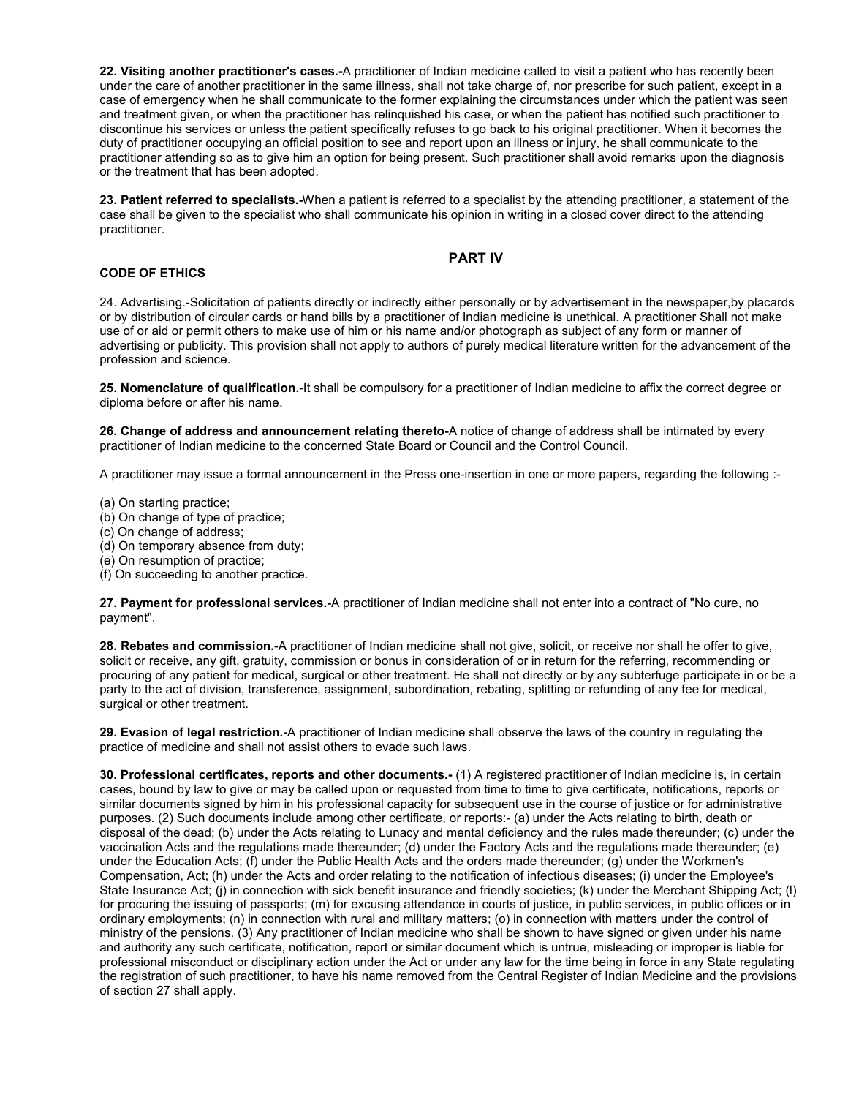**22. Visiting another practitioner's cases.-**A practitioner of Indian medicine called to visit a patient who has recently been under the care of another practitioner in the same illness, shall not take charge of, nor prescribe for such patient, except in a case of emergency when he shall communicate to the former explaining the circumstances under which the patient was seen and treatment given, or when the practitioner has relinquished his case, or when the patient has notified such practitioner to discontinue his services or unless the patient specifically refuses to go back to his original practitioner. When it becomes the duty of practitioner occupying an official position to see and report upon an illness or injury, he shall communicate to the practitioner attending so as to give him an option for being present. Such practitioner shall avoid remarks upon the diagnosis or the treatment that has been adopted.

**23. Patient referred to specialists.-**When a patient is referred to a specialist by the attending practitioner, a statement of the case shall be given to the specialist who shall communicate his opinion in writing in a closed cover direct to the attending practitioner.

# **PART IV**

## **CODE OF ETHICS**

24. Advertising.-Solicitation of patients directly or indirectly either personally or by advertisement in the newspaper,by placards or by distribution of circular cards or hand bills by a practitioner of Indian medicine is unethical. A practitioner Shall not make use of or aid or permit others to make use of him or his name and/or photograph as subject of any form or manner of advertising or publicity. This provision shall not apply to authors of purely medical literature written for the advancement of the profession and science.

**25. Nomenclature of qualification.**-It shall be compulsory for a practitioner of Indian medicine to affix the correct degree or diploma before or after his name.

**26. Change of address and announcement relating thereto-**A notice of change of address shall be intimated by every practitioner of Indian medicine to the concerned State Board or Council and the Control Council.

A practitioner may issue a formal announcement in the Press one-insertion in one or more papers, regarding the following :-

(a) On starting practice;

- (b) On change of type of practice;
- (c) On change of address;
- (d) On temporary absence from duty;
- (e) On resumption of practice;
- (f) On succeeding to another practice.

**27. Payment for professional services.-**A practitioner of Indian medicine shall not enter into a contract of "No cure, no payment".

**28. Rebates and commission.**-A practitioner of Indian medicine shall not give, solicit, or receive nor shall he offer to give, solicit or receive, any gift, gratuity, commission or bonus in consideration of or in return for the referring, recommending or procuring of any patient for medical, surgical or other treatment. He shall not directly or by any subterfuge participate in or be a party to the act of division, transference, assignment, subordination, rebating, splitting or refunding of any fee for medical, surgical or other treatment.

**29. Evasion of legal restriction.-**A practitioner of Indian medicine shall observe the laws of the country in regulating the practice of medicine and shall not assist others to evade such laws.

**30. Professional certificates, reports and other documents.-** (1) A registered practitioner of Indian medicine is, in certain cases, bound by law to give or may be called upon or requested from time to time to give certificate, notifications, reports or similar documents signed by him in his professional capacity for subsequent use in the course of justice or for administrative purposes. (2) Such documents include among other certificate, or reports:- (a) under the Acts relating to birth, death or disposal of the dead; (b) under the Acts relating to Lunacy and mental deficiency and the rules made thereunder; (c) under the vaccination Acts and the regulations made thereunder; (d) under the Factory Acts and the regulations made thereunder; (e) under the Education Acts; (f) under the Public Health Acts and the orders made thereunder; (g) under the Workmen's Compensation, Act; (h) under the Acts and order relating to the notification of infectious diseases; (i) under the Employee's State Insurance Act; (i) in connection with sick benefit insurance and friendly societies; (k) under the Merchant Shipping Act; (I) for procuring the issuing of passports; (m) for excusing attendance in courts of justice, in public services, in public offices or in ordinary employments; (n) in connection with rural and military matters; (o) in connection with matters under the control of ministry of the pensions. (3) Any practitioner of Indian medicine who shall be shown to have signed or given under his name and authority any such certificate, notification, report or similar document which is untrue, misleading or improper is liable for professional misconduct or disciplinary action under the Act or under any law for the time being in force in any State regulating the registration of such practitioner, to have his name removed from the Central Register of Indian Medicine and the provisions of section 27 shall apply.